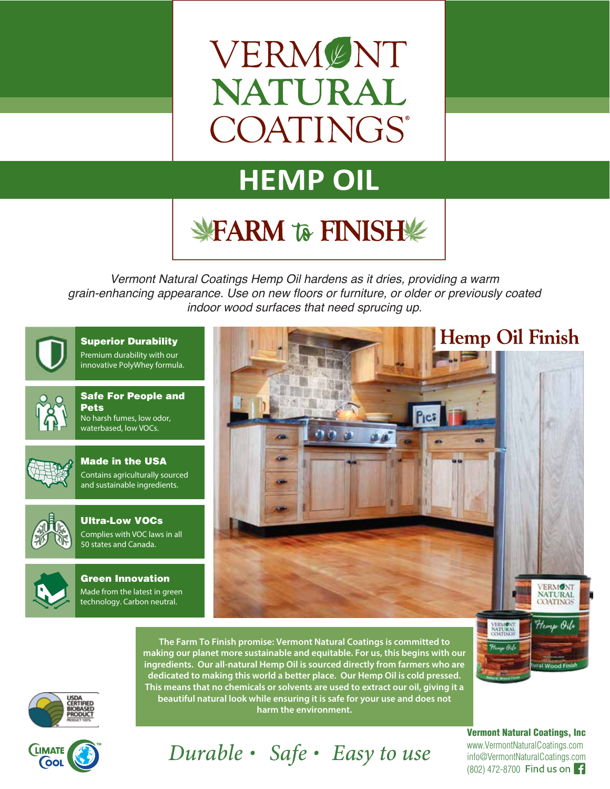# VERMENT **NATURAL** COATINGS®

## **HEMP OIL**

## **WFARM TO FINISH!**

*Vermont Natural Coatings Hemp Oil hardens as it dries, providing a warm grain-enhancing appearance. Use on new floors or furniture, or older or previously coated indoor wood surfaces that need sprucing up.*



Premium durability with our innovative PolyWhey formula. Superior Durability



Safe For People and Pets No harsh fumes, low odor, waterbased, low VOCs.



Made in the USA Contains agriculturally sourced and sustainable ingredients.



Ultra-Low VOCs **COLLACTE COLLACTE**<br>Complies with VOC laws in all Complies with voc laws in an 50 states and Canada.



Green Innovation Made from the latest in green technology. Carbon neutral.



The Farm To Finish promise: Vermont Natural Coatings is committed to making our planet more sustainable and equitable. For us, this begins with our ingredients. Our all-natural Hemp Oil is sourced directly from farmers who are dedicated to making this world a better place. Our Hemp Oil is cold pressed. This means that no chemicals or solvents are used to extract our oil, giving it a beautiful natural look while ensuring it is safe for your use and does not harm the environment.

Durable · Safe · Easy to use





www.VermontNaturalCoatings.com info@VermontNaturalCoatings.com (802) 472-8700 Vermont Natural Coatings, Inc

raf Wood Fi

Harry Oil